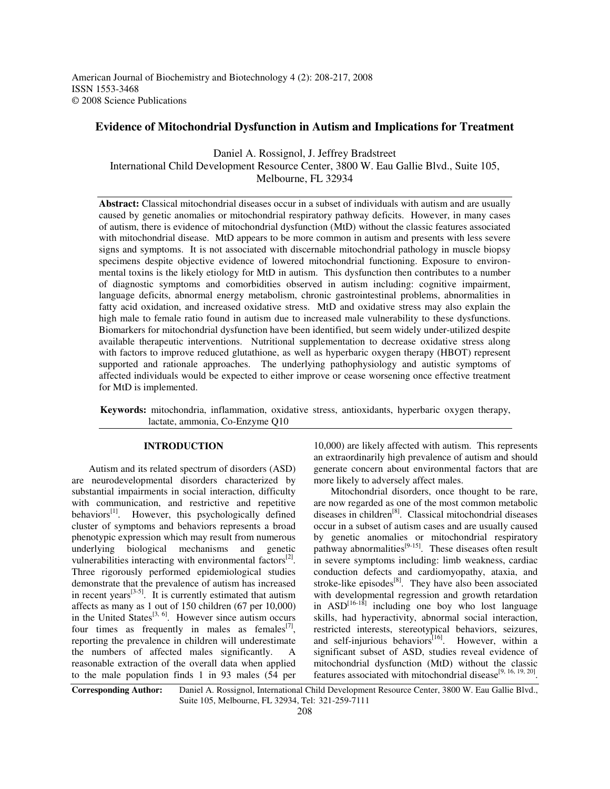American Journal of Biochemistry and Biotechnology 4 (2): 208-217, 2008 ISSN 1553-3468 © 2008 Science Publications

# **Evidence of Mitochondrial Dysfunction in Autism and Implications for Treatment**

Daniel A. Rossignol, J. Jeffrey Bradstreet International Child Development Resource Center, 3800 W. Eau Gallie Blvd., Suite 105, Melbourne, FL 32934

**Abstract:** Classical mitochondrial diseases occur in a subset of individuals with autism and are usually caused by genetic anomalies or mitochondrial respiratory pathway deficits. However, in many cases of autism, there is evidence of mitochondrial dysfunction (MtD) without the classic features associated with mitochondrial disease. MtD appears to be more common in autism and presents with less severe signs and symptoms. It is not associated with discernable mitochondrial pathology in muscle biopsy specimens despite objective evidence of lowered mitochondrial functioning. Exposure to environmental toxins is the likely etiology for MtD in autism. This dysfunction then contributes to a number of diagnostic symptoms and comorbidities observed in autism including: cognitive impairment, language deficits, abnormal energy metabolism, chronic gastrointestinal problems, abnormalities in fatty acid oxidation, and increased oxidative stress. MtD and oxidative stress may also explain the high male to female ratio found in autism due to increased male vulnerability to these dysfunctions. Biomarkers for mitochondrial dysfunction have been identified, but seem widely under-utilized despite available therapeutic interventions. Nutritional supplementation to decrease oxidative stress along with factors to improve reduced glutathione, as well as hyperbaric oxygen therapy (HBOT) represent supported and rationale approaches. The underlying pathophysiology and autistic symptoms of affected individuals would be expected to either improve or cease worsening once effective treatment for MtD is implemented.

**Keywords:** mitochondria, inflammation, oxidative stress, antioxidants, hyperbaric oxygen therapy, lactate, ammonia, Co-Enzyme Q10

## **INTRODUCTION**

Autism and its related spectrum of disorders (ASD) are neurodevelopmental disorders characterized by substantial impairments in social interaction, difficulty with communication, and restrictive and repetitive behaviors<sup>[1]</sup>. However, this psychologically defined cluster of symptoms and behaviors represents a broad phenotypic expression which may result from numerous underlying biological mechanisms and genetic vulnerabilities interacting with environmental factors<sup>[2]</sup>. Three rigorously performed epidemiological studies demonstrate that the prevalence of autism has increased in recent years $^{[3-5]}$ . It is currently estimated that autism affects as many as 1 out of 150 children (67 per 10,000) in the United States<sup>[3, 6]</sup>. However since autism occurs four times as frequently in males as females $^{[7]}$ , reporting the prevalence in children will underestimate the numbers of affected males significantly. A reasonable extraction of the overall data when applied to the male population finds 1 in 93 males (54 per

10,000) are likely affected with autism. This represents an extraordinarily high prevalence of autism and should generate concern about environmental factors that are more likely to adversely affect males.

Mitochondrial disorders, once thought to be rare, are now regarded as one of the most common metabolic diseases in children<sup>[8]</sup>. Classical mitochondrial diseases occur in a subset of autism cases and are usually caused by genetic anomalies or mitochondrial respiratory pathway abnormalities<sup>[9-15]</sup>. These diseases often result in severe symptoms including: limb weakness, cardiac conduction defects and cardiomyopathy, ataxia, and stroke-like episodes<sup>[8]</sup>. They have also been associated with developmental regression and growth retardation in  $ASD^{[16-18]}$  including one boy who lost language skills, had hyperactivity, abnormal social interaction, restricted interests, stereotypical behaviors, seizures, and self-injurious behaviors $[16]$ . However, within a significant subset of ASD, studies reveal evidence of mitochondrial dysfunction (MtD) without the classic features associated with mitochondrial disease<sup>[9, 16, 19, 20]</sup>.

**Corresponding Author:** Daniel A. Rossignol, International Child Development Resource Center, 3800 W. Eau Gallie Blvd., Suite 105, Melbourne, FL 32934, Tel: 321-259-7111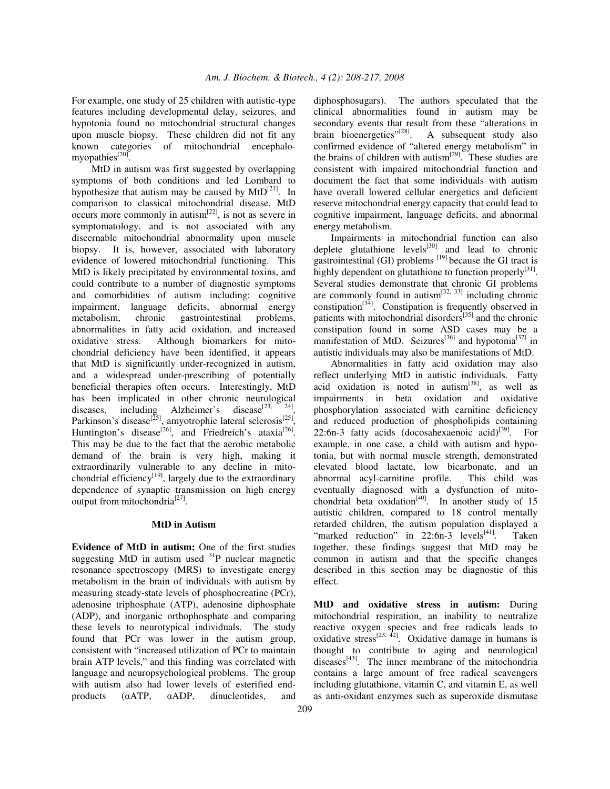For example, one study of 25 children with autistic-type features including developmental delay, seizures, and hypotonia found no mitochondrial structural changes upon muscle biopsy. These children did not fit any known categories of mitochondrial encephalomyopathies<sup>[20]</sup>.

MtD in autism was first suggested by overlapping symptoms of both conditions and led Lombard to hypothesize that autism may be caused by  $MtD^{[21]}$ . In comparison to classical mitochondrial disease, MtD occurs more commonly in autism $[22]$ , is not as severe in symptomatology, and is not associated with any discernable mitochondrial abnormality upon muscle biopsy. It is, however, associated with laboratory evidence of lowered mitochondrial functioning. This MtD is likely precipitated by environmental toxins, and could contribute to a number of diagnostic symptoms and comorbidities of autism including: cognitive impairment, language deficits, abnormal energy metabolism, chronic gastrointestinal problems, abnormalities in fatty acid oxidation, and increased oxidative stress. Although biomarkers for mitochondrial deficiency have been identified, it appears that MtD is significantly under-recognized in autism, and a widespread under-prescribing of potentially beneficial therapies often occurs. Interestingly, MtD has been implicated in other chronic neurological diseases, including Alzheimer's disease<sup>[23, 24]</sup>, Parkinson's disease<sup>[25]</sup>, amyotrophic lateral sclerosis<sup>[25]</sup>, Huntington's disease<sup>[26]</sup>, and Friedreich's ataxia<sup>[26]</sup>. This may be due to the fact that the aerobic metabolic demand of the brain is very high, making it extraordinarily vulnerable to any decline in mitochondrial efficiency<sup>[19]</sup>, largely due to the extraordinary dependence of synaptic transmission on high energy output from mitochondria<sup>[27]</sup>.

# **MtD in Autism**

**Evidence of MtD in autism:** One of the first studies suggesting MtD in autism used  $31P$  nuclear magnetic resonance spectroscopy (MRS) to investigate energy metabolism in the brain of individuals with autism by measuring steady-state levels of phosphocreatine (PCr), adenosine triphosphate (ATP), adenosine diphosphate (ADP), and inorganic orthophosphate and comparing these levels to neurotypical individuals. The study found that PCr was lower in the autism group, consistent with "increased utilization of PCr to maintain brain ATP levels," and this finding was correlated with language and neuropsychological problems. The group with autism also had lower levels of esterified endproducts  $(\alpha ATP, \alpha ADP, \alpha ADP, \alpha ADP)$ 

diphosphosugars). The authors speculated that the clinical abnormalities found in autism may be secondary events that result from these "alterations in brain bioenergetics"<sup>[28]</sup> . A subsequent study also confirmed evidence of "altered energy metabolism" in the brains of children with autism<sup>[29]</sup>. These studies are consistent with impaired mitochondrial function and document the fact that some individuals with autism have overall lowered cellular energetics and deficient reserve mitochondrial energy capacity that could lead to cognitive impairment, language deficits, and abnormal energy metabolism.

Impairments in mitochondrial function can also deplete glutathione levels<sup>[30]</sup> and lead to chronic gastrointestinal (GI) problems <sup>[19]</sup> because the GI tract is highly dependent on glutathione to function properly<sup>[31]</sup>. Several studies demonstrate that chronic GI problems are commonly found in autism $^{[32, 33]}$  including chronic constipation<sup>[34]</sup>. Constipation is frequently observed in patients with mitochondrial disorders<sup>[35]</sup> and the chronic constipation found in some ASD cases may be a manifestation of MtD. Seizures<sup>[36]</sup> and hypotonia<sup>[37]</sup> in autistic individuals may also be manifestations of MtD.

Abnormalities in fatty acid oxidation may also reflect underlying MtD in autistic individuals. Fatty acid oxidation is noted in autism $^{[38]}$ , as well as impairments in beta oxidation and oxidative phosphorylation associated with carnitine deficiency and reduced production of phospholipids containing 22:6n-3 fatty acids (docosahexaenoic acid)<sup>[39]</sup>. For example, in one case, a child with autism and hypotonia, but with normal muscle strength, demonstrated elevated blood lactate, low bicarbonate, and an abnormal acyl-carnitine profile. This child was eventually diagnosed with a dysfunction of mitochondrial beta oxidation<sup>[40]</sup>. In another study of 15 autistic children, compared to 18 control mentally retarded children, the autism population displayed a "marked reduction" in  $22:6n-3$  levels<sup>[41]</sup> . Taken together, these findings suggest that MtD may be common in autism and that the specific changes described in this section may be diagnostic of this effect.

**MtD and oxidative stress in autism:** During mitochondrial respiration, an inability to neutralize reactive oxygen species and free radicals leads to oxidative stress<sup>[23, 42]</sup>. Oxidative damage in humans is thought to contribute to aging and neurological diseases<sup>[43]</sup>. The inner membrane of the mitochondria contains a large amount of free radical scavengers including glutathione, vitamin C, and vitamin E, as well as anti-oxidant enzymes such as superoxide dismutase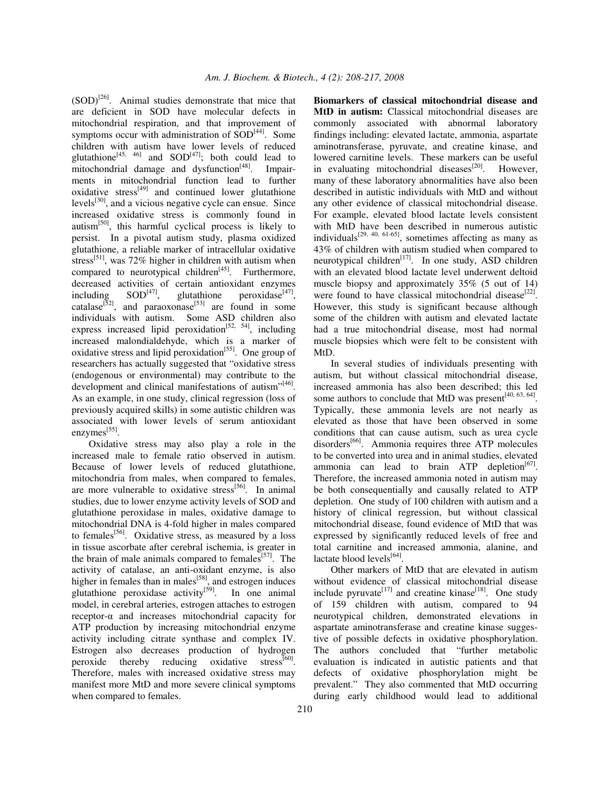$(SOD)^{[26]}$ . Animal studies demonstrate that mice that are deficient in SOD have molecular defects in mitochondrial respiration, and that improvement of symptoms occur with administration of SOD<sup>[44]</sup>. Some children with autism have lower levels of reduced glutathione<sup>[45, 46]</sup> and SOD<sup>[47]</sup>; both could lead to mitochondrial damage and dysfunction<sup>[48]</sup>. Impairments in mitochondrial function lead to further oxidative stress<sup>[49]</sup> and continued lower glutathione levels<sup>[30]</sup>, and a vicious negative cycle can ensue. Since increased oxidative stress is commonly found in autism<sup>[50]</sup>, this harmful cyclical process is likely to persist. In a pivotal autism study, plasma oxidized glutathione, a reliable marker of intracellular oxidative stress<sup>[51]</sup>, was 72% higher in children with autism when compared to neurotypical children<sup>[45]</sup>. Furthermore, decreased activities of certain antioxidant enzymes including  $SOD^{[47]}$ glutathione [47] , catalase<sup>[52]</sup>, and paraoxonase<sup>[53]</sup> are found in some individuals with autism. Some ASD children also express increased lipid peroxidation<sup>[52, 54]</sup>, including increased malondialdehyde, which is a marker of oxidative stress and lipid peroxidation<sup>[55]</sup>. One group of researchers has actually suggested that "oxidative stress (endogenous or environmental) may contribute to the development and clinical manifestations of autism"<sup>[46]</sup>. As an example, in one study, clinical regression (loss of previously acquired skills) in some autistic children was associated with lower levels of serum antioxidant enzymes<sup>[55]</sup>.

Oxidative stress may also play a role in the increased male to female ratio observed in autism. Because of lower levels of reduced glutathione, mitochondria from males, when compared to females, are more vulnerable to oxidative stress<sup>[56]</sup>. In animal studies, due to lower enzyme activity levels of SOD and glutathione peroxidase in males, oxidative damage to mitochondrial DNA is 4-fold higher in males compared to females<sup>[56]</sup>. Oxidative stress, as measured by a loss in tissue ascorbate after cerebral ischemia, is greater in the brain of male animals compared to females<sup>[57]</sup>. The activity of catalase, an anti-oxidant enzyme, is also higher in females than in males<sup>[58]</sup>, and estrogen induces glutathione peroxidase activity<sup>[59]</sup>. In one animal model, in cerebral arteries, estrogen attaches to estrogen  $receptor-\alpha$  and increases mitochondrial capacity for ATP production by increasing mitochondrial enzyme activity including citrate synthase and complex IV. Estrogen also decreases production of hydrogen peroxide thereby reducing oxidative [60] . Therefore, males with increased oxidative stress may manifest more MtD and more severe clinical symptoms when compared to females.

**Biomarkers of classical mitochondrial disease and MtD in autism:** Classical mitochondrial diseases are commonly associated with abnormal laboratory findings including: elevated lactate, ammonia, aspartate aminotransferase, pyruvate, and creatine kinase, and lowered carnitine levels. These markers can be useful in evaluating mitochondrial diseases<sup>[20]</sup>. However, many of these laboratory abnormalities have also been described in autistic individuals with MtD and without any other evidence of classical mitochondrial disease. For example, elevated blood lactate levels consistent with MtD have been described in numerous autistic individuals<sup>[29, 40, 61-65]</sup>, sometimes affecting as many as 43% of children with autism studied when compared to neurotypical children<sup>[17]</sup>. In one study, ASD children with an elevated blood lactate level underwent deltoid muscle biopsy and approximately 35% (5 out of 14) were found to have classical mitochondrial disease<sup>[22]</sup>. However, this study is significant because although some of the children with autism and elevated lactate had a true mitochondrial disease, most had normal muscle biopsies which were felt to be consistent with MtD.

In several studies of individuals presenting with autism, but without classical mitochondrial disease, increased ammonia has also been described; this led some authors to conclude that MtD was present  $[40, 63, 64]$ . Typically, these ammonia levels are not nearly as elevated as those that have been observed in some conditions that can cause autism, such as urea cycle disorders<sup>[66]</sup>. Ammonia requires three ATP molecules to be converted into urea and in animal studies, elevated ammonia can lead to brain ATP depletion<sup>[67]</sup>. Therefore, the increased ammonia noted in autism may be both consequentially and causally related to ATP depletion. One study of 100 children with autism and a history of clinical regression, but without classical mitochondrial disease, found evidence of MtD that was expressed by significantly reduced levels of free and total carnitine and increased ammonia, alanine, and lactate blood levels<sup>[64]</sup>.

Other markers of MtD that are elevated in autism without evidence of classical mitochondrial disease include pyruvate<sup>[17]</sup> and creatine kinase<sup>[18]</sup>. One study of 159 children with autism, compared to 94 neurotypical children, demonstrated elevations in aspartate aminotransferase and creatine kinase suggestive of possible defects in oxidative phosphorylation. The authors concluded that "further metabolic evaluation is indicated in autistic patients and that defects of oxidative phosphorylation might be prevalent." They also commented that MtD occurring during early childhood would lead to additional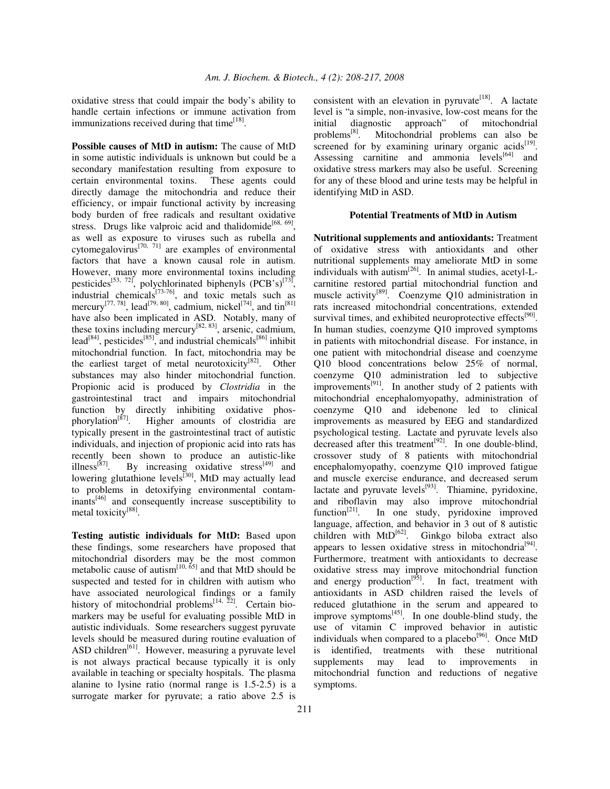oxidative stress that could impair the body's ability to handle certain infections or immune activation from immunizations received during that time<sup>[18]</sup>.

**Possible causes of MtD in autism:** The cause of MtD in some autistic individuals is unknown but could be a secondary manifestation resulting from exposure to certain environmental toxins. These agents could directly damage the mitochondria and reduce their efficiency, or impair functional activity by increasing body burden of free radicals and resultant oxidative stress. Drugs like valproic acid and thalidomide<sup>[68, 69]</sup>, as well as exposure to viruses such as rubella and cytomegalovirus<sup>[70, 71]</sup> are examples of environmental factors that have a known causal role in autism. However, many more environmental toxins including pesticides<sup>[53, 72]</sup>, polychlorinated biphenyls  $(PCB's)^{[73]}$ , industrial chemicals<sup>[73-76]</sup>, and toxic metals such as mercury<sup>[77, 78]</sup>, lead<sup>[79, 80]</sup>, cadmium, nickel<sup>[74]</sup>, and tin<sup>[81]</sup> have also been implicated in ASD. Notably, many of these toxins including mercury<sup>[82, 83]</sup>, arsenic, cadmium, lead<sup>[84]</sup>, pesticides<sup>[85]</sup>, and industrial chemicals<sup>[86]</sup> inhibit mitochondrial function. In fact, mitochondria may be the earliest target of metal neurotoxicity<sup>[82]</sup>. Other substances may also hinder mitochondrial function. Propionic acid is produced by *Clostridia* in the gastrointestinal tract and impairs mitochondrial function by directly inhibiting oxidative phosphorylation<sup>[87]</sup>. Higher amounts of clostridia are typically present in the gastrointestinal tract of autistic individuals, and injection of propionic acid into rats has recently been shown to produce an autistic-like illness<sup>[87]</sup>. By increasing oxidative stress<sup>[49]</sup> and lowering glutathione levels<sup>[30]</sup>, MtD may actually lead to problems in detoxifying environmental contaminants<sup>[46]</sup> and consequently increase susceptibility to metal toxicity<sup>[88]</sup>.

**Testing autistic individuals for MtD:** Based upon these findings, some researchers have proposed that mitochondrial disorders may be the most common metabolic cause of autism<sup>[10,  $\delta$ 5]</sup> and that MtD should be suspected and tested for in children with autism who have associated neurological findings or a family history of mitochondrial problems<sup>[14, 22]</sup>. Certain biomarkers may be useful for evaluating possible MtD in autistic individuals. Some researchers suggest pyruvate levels should be measured during routine evaluation of ASD children<sup>[61]</sup>. However, measuring a pyruvate level is not always practical because typically it is only available in teaching or specialty hospitals. The plasma alanine to lysine ratio (normal range is 1.5-2.5) is a surrogate marker for pyruvate; a ratio above 2.5 is

consistent with an elevation in pyruvate<sup>[18]</sup>. A lactate level is "a simple, non-invasive, low-cost means for the approach" of mitochondrial problems<sup>[8]</sup>. Mitochondrial problems can also be screened for by examining urinary organic acids<sup>[19]</sup>. Assessing carnitine and ammonia levels<sup>[64]</sup> and oxidative stress markers may also be useful. Screening for any of these blood and urine tests may be helpful in identifying MtD in ASD.

#### **Potential Treatments of MtD in Autism**

**Nutritional supplements and antioxidants:** Treatment of oxidative stress with antioxidants and other nutritional supplements may ameliorate MtD in some individuals with autism<sup>[26]</sup>. In animal studies, acetyl-Lcarnitine restored partial mitochondrial function and muscle activity<sup>[89]</sup>. Coenzyme Q10 administration in rats increased mitochondrial concentrations, extended survival times, and exhibited neuroprotective effects<sup>[90]</sup>. In human studies, coenzyme Q10 improved symptoms in patients with mitochondrial disease. For instance, in one patient with mitochondrial disease and coenzyme Q10 blood concentrations below 25% of normal, coenzyme Q10 administration led to subjective improvements<sup>[91]</sup>. In another study of 2 patients with mitochondrial encephalomyopathy, administration of coenzyme Q10 and idebenone led to clinical improvements as measured by EEG and standardized psychological testing. Lactate and pyruvate levels also decreased after this treatment<sup>[92]</sup>. In one double-blind, crossover study of 8 patients with mitochondrial encephalomyopathy, coenzyme Q10 improved fatigue and muscle exercise endurance, and decreased serum lactate and pyruvate levels<sup>[93]</sup>. Thiamine, pyridoxine, and riboflavin may also improve mitochondrial function<sup>[21]</sup> . In one study, pyridoxine improved language, affection, and behavior in 3 out of 8 autistic children with  $MtD^{[62]}$ . Ginkgo biloba extract also appears to lessen oxidative stress in mitochondria<sup>[94]</sup>. Furthermore, treatment with antioxidants to decrease oxidative stress may improve mitochondrial function and energy production<sup>[95]</sup>. In fact, treatment with antioxidants in ASD children raised the levels of reduced glutathione in the serum and appeared to improve symptoms<sup>[45]</sup>. In one double-blind study, the use of vitamin C improved behavior in autistic individuals when compared to a placebo<sup>[96]</sup>. Once MtD is identified, treatments with these nutritional supplements may lead to improvements in mitochondrial function and reductions of negative symptoms.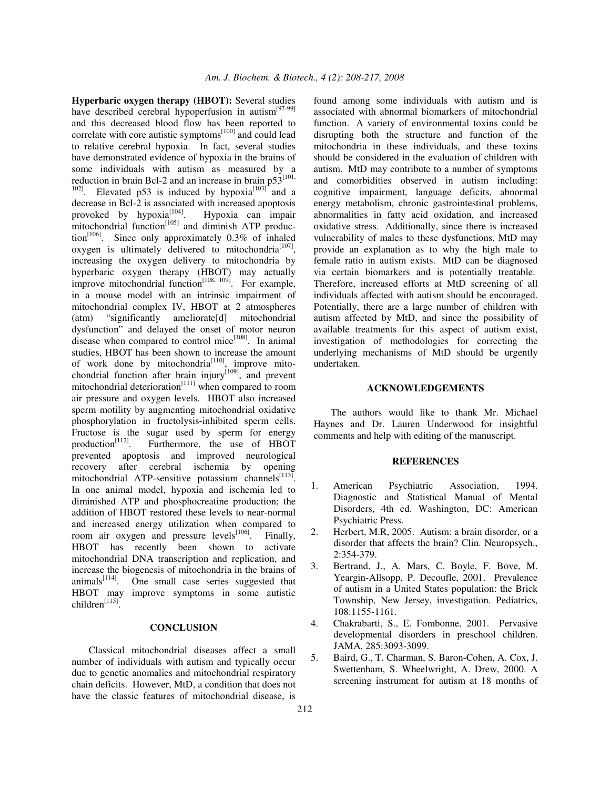**Hyperbaric oxygen therapy (HBOT):** Several studies have described cerebral hypoperfusion in autism<sup>[97-99]</sup> and this decreased blood flow has been reported to correlate with core autistic symptoms<sup>[100]</sup> and could lead to relative cerebral hypoxia. In fact, several studies have demonstrated evidence of hypoxia in the brains of some individuals with autism as measured by a reduction in brain Bcl-2 and an increase in brain  $p53^{[101]}$  $102$ ]. Elevated p53 is induced by hypoxia $103$ ] and a decrease in Bcl-2 is associated with increased apoptosis provoked by hypoxia<sup>[104]</sup> . Hypoxia can impair mitochondrial function<sup>[105]</sup> and diminish ATP production<sup>[106]</sup>. Since only approximately  $0.3\%$  of inhaled oxygen is ultimately delivered to mitochondria<sup>[107]</sup>, increasing the oxygen delivery to mitochondria by hyperbaric oxygen therapy (HBOT) may actually improve mitochondrial function<sup>[108, 109]</sup>. For example, in a mouse model with an intrinsic impairment of mitochondrial complex IV, HBOT at 2 atmospheres (atm) "significantly ameliorate[d] mitochondrial dysfunction" and delayed the onset of motor neuron disease when compared to control mice<sup>[108]</sup>. In animal studies, HBOT has been shown to increase the amount of work done by mitochondria<sup>[110]</sup>, improve mitochondrial function after brain injury $[109]$ , and prevent mitochondrial deterioration<sup>[111]</sup> when compared to room air pressure and oxygen levels. HBOT also increased sperm motility by augmenting mitochondrial oxidative phosphorylation in fructolysis-inhibited sperm cells. Fructose is the sugar used by sperm for energy production [112] . Furthermore, the use of HBOT prevented apoptosis and improved neurological recovery after cerebral ischemia by opening mitochondrial ATP-sensitive potassium channels<sup>[113]</sup>. In one animal model, hypoxia and ischemia led to diminished ATP and phosphocreatine production; the addition of HBOT restored these levels to near-normal and increased energy utilization when compared to room air oxygen and pressure levels<sup>[106]</sup>. Finally, HBOT has recently been shown to activate mitochondrial DNA transcription and replication, and increase the biogenesis of mitochondria in the brains of animals [114] . One small case series suggested that HBOT may improve symptoms in some autistic children<sup>[115]</sup>.

## **CONCLUSION**

Classical mitochondrial diseases affect a small number of individuals with autism and typically occur due to genetic anomalies and mitochondrial respiratory chain deficits. However, MtD, a condition that does not have the classic features of mitochondrial disease, is found among some individuals with autism and is associated with abnormal biomarkers of mitochondrial function. A variety of environmental toxins could be disrupting both the structure and function of the mitochondria in these individuals, and these toxins should be considered in the evaluation of children with autism. MtD may contribute to a number of symptoms and comorbidities observed in autism including: cognitive impairment, language deficits, abnormal energy metabolism, chronic gastrointestinal problems, abnormalities in fatty acid oxidation, and increased oxidative stress. Additionally, since there is increased vulnerability of males to these dysfunctions, MtD may provide an explanation as to why the high male to female ratio in autism exists. MtD can be diagnosed via certain biomarkers and is potentially treatable. Therefore, increased efforts at MtD screening of all individuals affected with autism should be encouraged. Potentially, there are a large number of children with autism affected by MtD, and since the possibility of available treatments for this aspect of autism exist, investigation of methodologies for correcting the underlying mechanisms of MtD should be urgently undertaken.

#### **ACKNOWLEDGEMENTS**

The authors would like to thank Mr. Michael Haynes and Dr. Lauren Underwood for insightful comments and help with editing of the manuscript.

# **REFERENCES**

- 1. American Psychiatric Association, 1994. Diagnostic and Statistical Manual of Mental Disorders, 4th ed. Washington, DC: American Psychiatric Press.
- 2. Herbert, M.R, 2005. Autism: a brain disorder, or a disorder that affects the brain? Clin. Neuropsych., 2:354-379.
- 3. Bertrand, J., A. Mars, C. Boyle, F. Bove, M. Yeargin-Allsopp, P. Decoufle, 2001. Prevalence of autism in a United States population: the Brick Township, New Jersey, investigation. Pediatrics, 108:1155-1161.
- 4. Chakrabarti, S., E. Fombonne, 2001. Pervasive developmental disorders in preschool children. JAMA, 285:3093-3099.
- 5. Baird, G., T. Charman, S. Baron-Cohen, A. Cox, J. Swettenham, S. Wheelwright, A. Drew, 2000. A screening instrument for autism at 18 months of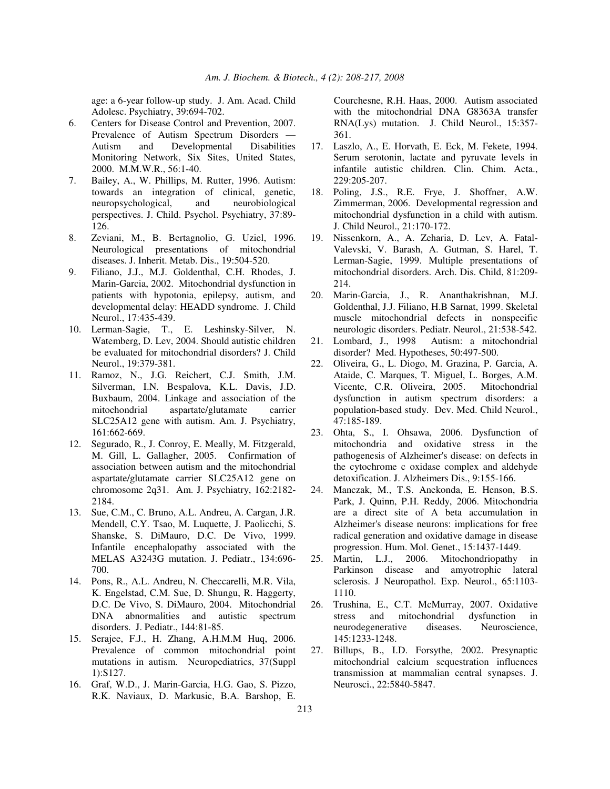age: a 6-year follow-up study. J. Am. Acad. Child Adolesc. Psychiatry, 39:694-702.

- 6. Centers for Disease Control and Prevention, 2007. Prevalence of Autism Spectrum Disorders — Autism and Developmental Disabilities Monitoring Network, Six Sites, United States, 2000. M.M.W.R., 56:1-40.
- 7. Bailey, A., W. Phillips, M. Rutter, 1996. Autism: towards an integration of clinical, genetic, neuropsychological, and neurobiological perspectives. J. Child. Psychol. Psychiatry, 37:89- 126.
- 8. Zeviani, M., B. Bertagnolio, G. Uziel, 1996. Neurological presentations of mitochondrial diseases. J. Inherit. Metab. Dis., 19:504-520.
- 9. Filiano, J.J., M.J. Goldenthal, C.H. Rhodes, J. Marin-Garcia, 2002. Mitochondrial dysfunction in patients with hypotonia, epilepsy, autism, and developmental delay: HEADD syndrome. J. Child Neurol., 17:435-439.
- 10. Lerman-Sagie, T., E. Leshinsky-Silver, N. Watemberg, D. Lev, 2004. Should autistic children be evaluated for mitochondrial disorders? J. Child Neurol., 19:379-381.
- 11. Ramoz, N., J.G. Reichert, C.J. Smith, J.M. Silverman, I.N. Bespalova, K.L. Davis, J.D. Buxbaum, 2004. Linkage and association of the mitochondrial aspartate/glutamate carrier SLC25A12 gene with autism. Am. J. Psychiatry, 161:662-669.
- 12. Segurado, R., J. Conroy, E. Meally, M. Fitzgerald, M. Gill, L. Gallagher, 2005. Confirmation of association between autism and the mitochondrial aspartate/glutamate carrier SLC25A12 gene on chromosome 2q31. Am. J. Psychiatry, 162:2182- 2184.
- 13. Sue, C.M., C. Bruno, A.L. Andreu, A. Cargan, J.R. Mendell, C.Y. Tsao, M. Luquette, J. Paolicchi, S. Shanske, S. DiMauro, D.C. De Vivo, 1999. Infantile encephalopathy associated with the MELAS A3243G mutation. J. Pediatr., 134:696- 700.
- 14. Pons, R., A.L. Andreu, N. Checcarelli, M.R. Vila, K. Engelstad, C.M. Sue, D. Shungu, R. Haggerty, D.C. De Vivo, S. DiMauro, 2004. Mitochondrial DNA abnormalities and autistic spectrum disorders. J. Pediatr., 144:81-85.
- 15. Serajee, F.J., H. Zhang, A.H.M.M Huq, 2006. Prevalence of common mitochondrial point mutations in autism. Neuropediatrics, 37(Suppl 1):S127.
- 16. Graf, W.D., J. Marin-Garcia, H.G. Gao, S. Pizzo, R.K. Naviaux, D. Markusic, B.A. Barshop, E.

Courchesne, R.H. Haas, 2000. Autism associated with the mitochondrial DNA G8363A transfer RNA(Lys) mutation. J. Child Neurol., 15:357- 361.

- 17. Laszlo, A., E. Horvath, E. Eck, M. Fekete, 1994. Serum serotonin, lactate and pyruvate levels in infantile autistic children. Clin. Chim. Acta., 229:205-207.
- 18. Poling, J.S., R.E. Frye, J. Shoffner, A.W. Zimmerman, 2006. Developmental regression and mitochondrial dysfunction in a child with autism. J. Child Neurol., 21:170-172.
- 19. Nissenkorn, A., A. Zeharia, D. Lev, A. Fatal-Valevski, V. Barash, A. Gutman, S. Harel, T. Lerman-Sagie, 1999. Multiple presentations of mitochondrial disorders. Arch. Dis. Child, 81:209- 214.
- 20. Marin-Garcia, J., R. Ananthakrishnan, M.J. Goldenthal, J.J. Filiano, H.B Sarnat, 1999. Skeletal muscle mitochondrial defects in nonspecific neurologic disorders. Pediatr. Neurol., 21:538-542.
- 21. Lombard, J., 1998 Autism: a mitochondrial disorder? Med. Hypotheses, 50:497-500.
- 22. Oliveira, G., L. Diogo, M. Grazina, P. Garcia, A. Ataide, C. Marques, T. Miguel, L. Borges, A.M. Vicente, C.R. Oliveira, 2005. Mitochondrial dysfunction in autism spectrum disorders: a population-based study. Dev. Med. Child Neurol., 47:185-189.
- 23. Ohta, S., I. Ohsawa, 2006. Dysfunction of mitochondria and oxidative stress in the pathogenesis of Alzheimer's disease: on defects in the cytochrome c oxidase complex and aldehyde detoxification. J. Alzheimers Dis., 9:155-166.
- 24. Manczak, M., T.S. Anekonda, E. Henson, B.S. Park, J. Quinn, P.H. Reddy, 2006. Mitochondria are a direct site of A beta accumulation in Alzheimer's disease neurons: implications for free radical generation and oxidative damage in disease progression. Hum. Mol. Genet., 15:1437-1449.
- 25. Martin, L.J., 2006. Mitochondriopathy in Parkinson disease and amyotrophic lateral sclerosis. J Neuropathol. Exp. Neurol., 65:1103- 1110.
- 26. Trushina, E., C.T. McMurray, 2007. Oxidative stress and mitochondrial dysfunction in neurodegenerative diseases. Neuroscience, 145:1233-1248.
- 27. Billups, B., I.D. Forsythe, 2002. Presynaptic mitochondrial calcium sequestration influences transmission at mammalian central synapses. J. Neurosci., 22:5840-5847.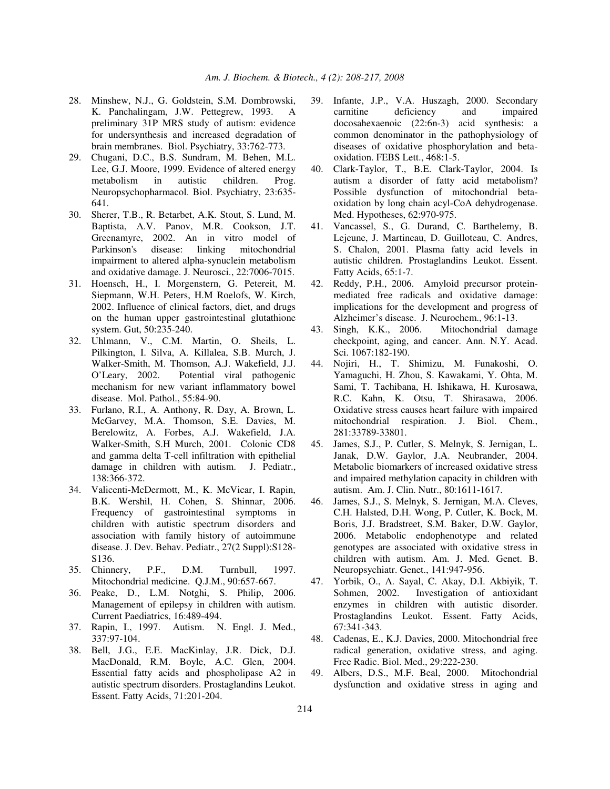- 28. Minshew, N.J., G. Goldstein, S.M. Dombrowski, K. Panchalingam, J.W. Pettegrew, 1993. A preliminary 31P MRS study of autism: evidence for undersynthesis and increased degradation of brain membranes. Biol. Psychiatry, 33:762-773.
- 29. Chugani, D.C., B.S. Sundram, M. Behen, M.L. Lee, G.J. Moore, 1999. Evidence of altered energy metabolism in autistic children. Prog. Neuropsychopharmacol. Biol. Psychiatry, 23:635- 641.
- 30. Sherer, T.B., R. Betarbet, A.K. Stout, S. Lund, M. Baptista, A.V. Panov, M.R. Cookson, J.T. Greenamyre, 2002. An in vitro model of Parkinson's disease: linking mitochondrial impairment to altered alpha-synuclein metabolism and oxidative damage. J. Neurosci., 22:7006-7015.
- 31. Hoensch, H., I. Morgenstern, G. Petereit, M. Siepmann, W.H. Peters, H.M Roelofs, W. Kirch, 2002. Influence of clinical factors, diet, and drugs on the human upper gastrointestinal glutathione system. Gut, 50:235-240.
- 32. Uhlmann, V., C.M. Martin, O. Sheils, L. Pilkington, I. Silva, A. Killalea, S.B. Murch, J. Walker-Smith, M. Thomson, A.J. Wakefield, J.J. O'Leary, 2002. Potential viral pathogenic mechanism for new variant inflammatory bowel disease. Mol. Pathol., 55:84-90.
- 33. Furlano, R.I., A. Anthony, R. Day, A. Brown, L. McGarvey, M.A. Thomson, S.E. Davies, M. Berelowitz, A. Forbes, A.J. Wakefield, J.A. Walker-Smith, S.H Murch, 2001. Colonic CD8 and gamma delta T-cell infiltration with epithelial damage in children with autism. J. Pediatr., 138:366-372.
- 34. Valicenti-McDermott, M., K. McVicar, I. Rapin, B.K. Wershil, H. Cohen, S. Shinnar, 2006. Frequency of gastrointestinal symptoms in children with autistic spectrum disorders and association with family history of autoimmune disease. J. Dev. Behav. Pediatr., 27(2 Suppl):S128- S136.
- 35. Chinnery, P.F., D.M. Turnbull, 1997. Mitochondrial medicine. Q.J.M., 90:657-667.
- 36. Peake, D., L.M. Notghi, S. Philip, 2006. Management of epilepsy in children with autism. Current Paediatrics, 16:489-494.
- 37. Rapin, I., 1997. Autism. N. Engl. J. Med., 337:97-104.
- 38. Bell, J.G., E.E. MacKinlay, J.R. Dick, D.J. MacDonald, R.M. Boyle, A.C. Glen, 2004. Essential fatty acids and phospholipase A2 in autistic spectrum disorders. Prostaglandins Leukot. Essent. Fatty Acids, 71:201-204.
- 39. Infante, J.P., V.A. Huszagh, 2000. Secondary carnitine deficiency and impaired docosahexaenoic (22:6n-3) acid synthesis: a common denominator in the pathophysiology of diseases of oxidative phosphorylation and betaoxidation. FEBS Lett., 468:1-5.
- 40. Clark-Taylor, T., B.E. Clark-Taylor, 2004. Is autism a disorder of fatty acid metabolism? Possible dysfunction of mitochondrial betaoxidation by long chain acyl-CoA dehydrogenase. Med. Hypotheses, 62:970-975.
- 41. Vancassel, S., G. Durand, C. Barthelemy, B. Lejeune, J. Martineau, D. Guilloteau, C. Andres, S. Chalon, 2001. Plasma fatty acid levels in autistic children. Prostaglandins Leukot. Essent. Fatty Acids, 65:1-7.
- 42. Reddy, P.H., 2006. Amyloid precursor proteinmediated free radicals and oxidative damage: implications for the development and progress of Alzheimer's disease. J. Neurochem., 96:1-13.
- 43. Singh, K.K., 2006. Mitochondrial damage checkpoint, aging, and cancer. Ann. N.Y. Acad. Sci. 1067:182-190.
- 44. Nojiri, H., T. Shimizu, M. Funakoshi, O. Yamaguchi, H. Zhou, S. Kawakami, Y. Ohta, M. Sami, T. Tachibana, H. Ishikawa, H. Kurosawa, R.C. Kahn, K. Otsu, T. Shirasawa, 2006. Oxidative stress causes heart failure with impaired mitochondrial respiration. J. Biol. Chem., 281:33789-33801.
- 45. James, S.J., P. Cutler, S. Melnyk, S. Jernigan, L. Janak, D.W. Gaylor, J.A. Neubrander, 2004. Metabolic biomarkers of increased oxidative stress and impaired methylation capacity in children with autism. Am. J. Clin. Nutr., 80:1611-1617.
- 46. James, S.J., S. Melnyk, S. Jernigan, M.A. Cleves, C.H. Halsted, D.H. Wong, P. Cutler, K. Bock, M. Boris, J.J. Bradstreet, S.M. Baker, D.W. Gaylor, 2006. Metabolic endophenotype and related genotypes are associated with oxidative stress in children with autism. Am. J. Med. Genet. B. Neuropsychiatr. Genet., 141:947-956.
- 47. Yorbik, O., A. Sayal, C. Akay, D.I. Akbiyik, T. Sohmen, 2002. Investigation of antioxidant enzymes in children with autistic disorder. Prostaglandins Leukot. Essent. Fatty Acids, 67:341-343.
- 48. Cadenas, E., K.J. Davies, 2000. Mitochondrial free radical generation, oxidative stress, and aging. Free Radic. Biol. Med., 29:222-230.
- 49. Albers, D.S., M.F. Beal, 2000. Mitochondrial dysfunction and oxidative stress in aging and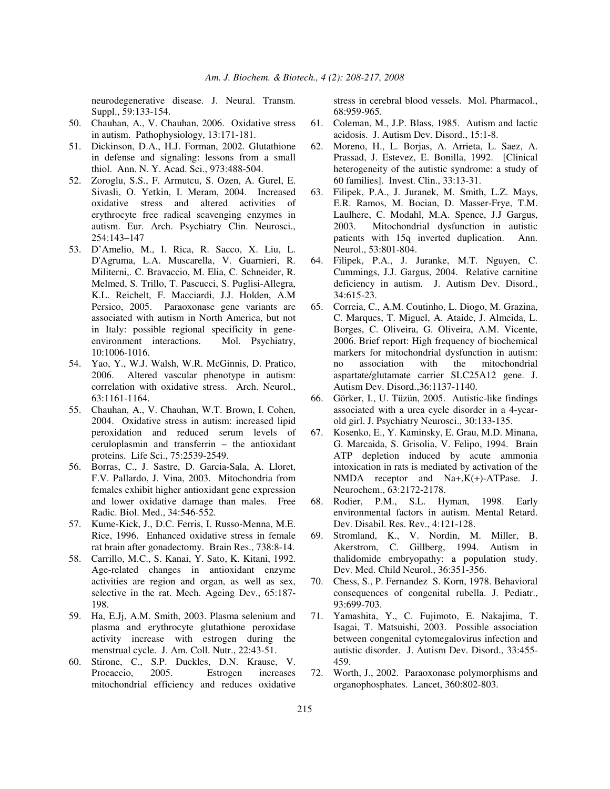neurodegenerative disease. J. Neural. Transm. Suppl., 59:133-154.

- 50. Chauhan, A., V. Chauhan, 2006. Oxidative stress in autism. Pathophysiology, 13:171-181.
- 51. Dickinson, D.A., H.J. Forman, 2002. Glutathione in defense and signaling: lessons from a small thiol. Ann. N. Y. Acad. Sci., 973:488-504.
- 52. Zoroglu, S.S., F. Armutcu, S. Ozen, A. Gurel, E. Sivasli, O. Yetkin, I. Meram, 2004. Increased oxidative stress and altered activities of erythrocyte free radical scavenging enzymes in autism. Eur. Arch. Psychiatry Clin. Neurosci., 254:143–147
- 53. D'Amelio, M., I. Rica, R. Sacco, X. Liu, L. D'Agruma, L.A. Muscarella, V. Guarnieri, R. Militerni,. C. Bravaccio, M. Elia, C. Schneider, R. Melmed, S. Trillo, T. Pascucci, S. Puglisi-Allegra, K.L. Reichelt, F. Macciardi, J.J. Holden, A.M Persico, 2005. Paraoxonase gene variants are associated with autism in North America, but not in Italy: possible regional specificity in geneenvironment interactions. Mol. Psychiatry, 10:1006-1016.
- 54. Yao, Y., W.J. Walsh, W.R. McGinnis, D. Pratico, 2006. Altered vascular phenotype in autism: correlation with oxidative stress. Arch. Neurol., 63:1161-1164.
- 55. Chauhan, A., V. Chauhan, W.T. Brown, I. Cohen, 2004. Oxidative stress in autism: increased lipid peroxidation and reduced serum levels of ceruloplasmin and transferrin – the antioxidant proteins. Life Sci., 75:2539-2549.
- 56. Borras, C., J. Sastre, D. Garcia-Sala, A. Lloret, F.V. Pallardo, J. Vina, 2003. Mitochondria from females exhibit higher antioxidant gene expression and lower oxidative damage than males. Free Radic. Biol. Med., 34:546-552.
- 57. Kume-Kick, J., D.C. Ferris, I. Russo-Menna, M.E. Rice, 1996. Enhanced oxidative stress in female rat brain after gonadectomy. Brain Res., 738:8-14.
- 58. Carrillo, M.C., S. Kanai, Y. Sato, K. Kitani, 1992. Age-related changes in antioxidant enzyme activities are region and organ, as well as sex, selective in the rat. Mech. Ageing Dev., 65:187- 198.
- 59. Ha, E.Jj, A.M. Smith, 2003. Plasma selenium and plasma and erythrocyte glutathione peroxidase activity increase with estrogen during the menstrual cycle. J. Am. Coll. Nutr., 22:43-51.
- 60. Stirone, C., S.P. Duckles, D.N. Krause, V. Procaccio, 2005. Estrogen increases mitochondrial efficiency and reduces oxidative

stress in cerebral blood vessels. Mol. Pharmacol., 68:959-965.

- 61. Coleman, M., J.P. Blass, 1985. Autism and lactic acidosis. J. Autism Dev. Disord., 15:1-8.
- 62. Moreno, H., L. Borjas, A. Arrieta, L. Saez, A. Prassad, J. Estevez, E. Bonilla, 1992. [Clinical heterogeneity of the autistic syndrome: a study of 60 families]. Invest. Clin., 33:13-31.
- 63. Filipek, P.A., J. Juranek, M. Smith, L.Z. Mays, E.R. Ramos, M. Bocian, D. Masser-Frye, T.M. Laulhere, C. Modahl, M.A. Spence, J.J Gargus, 2003. Mitochondrial dysfunction in autistic patients with 15q inverted duplication. Ann. Neurol., 53:801-804.
- 64. Filipek, P.A., J. Juranke, M.T. Nguyen, C. Cummings, J.J. Gargus, 2004. Relative carnitine deficiency in autism. J. Autism Dev. Disord., 34:615-23.
- 65. Correia, C., A.M. Coutinho, L. Diogo, M. Grazina, C. Marques, T. Miguel, A. Ataide, J. Almeida, L. Borges, C. Oliveira, G. Oliveira, A.M. Vicente, 2006. Brief report: High frequency of biochemical markers for mitochondrial dysfunction in autism: no association with the mitochondrial aspartate/glutamate carrier SLC25A12 gene. J. Autism Dev. Disord.,36:1137-1140.
- 66. Görker, I., U. Tüzün, 2005. Autistic-like findings associated with a urea cycle disorder in a 4-yearold girl. J. Psychiatry Neurosci., 30:133-135.
- 67. Kosenko, E., Y. Kaminsky, E. Grau, M.D. Minana, G. Marcaida, S. Grisolia, V. Felipo, 1994. Brain ATP depletion induced by acute ammonia intoxication in rats is mediated by activation of the NMDA receptor and Na+,K(+)-ATPase. J. Neurochem., 63:2172-2178.
- 68. Rodier, P.M., S.L. Hyman, 1998. Early environmental factors in autism. Mental Retard. Dev. Disabil. Res. Rev., 4:121-128.
- 69. Stromland, K., V. Nordin, M. Miller, B. Akerstrom, C. Gillberg, 1994. Autism in thalidomide embryopathy: a population study. Dev. Med. Child Neurol., 36:351-356.
- 70. Chess, S., P. Fernandez S. Korn, 1978. Behavioral consequences of congenital rubella. J. Pediatr., 93:699-703.
- 71. Yamashita, Y., C. Fujimoto, E. Nakajima, T. Isagai, T. Matsuishi, 2003. Possible association between congenital cytomegalovirus infection and autistic disorder. J. Autism Dev. Disord., 33:455- 459.
- 72. Worth, J., 2002. Paraoxonase polymorphisms and organophosphates. Lancet, 360:802-803.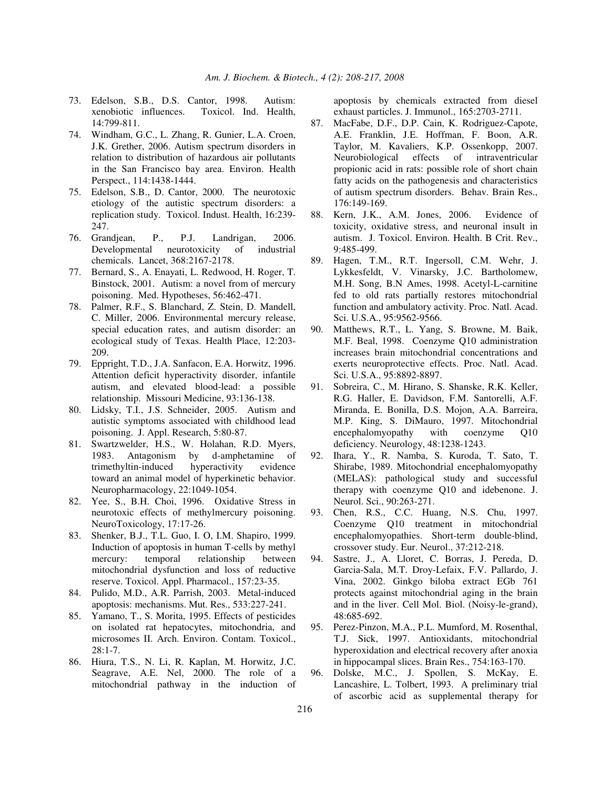- 73. Edelson, S.B., D.S. Cantor, 1998. Autism: xenobiotic influences. Toxicol. Ind. Health, 14:799-811.
- 74. Windham, G.C., L. Zhang, R. Gunier, L.A. Croen, J.K. Grether, 2006. Autism spectrum disorders in relation to distribution of hazardous air pollutants in the San Francisco bay area. Environ. Health Perspect., 114:1438-1444.
- 75. Edelson, S.B., D. Cantor, 2000. The neurotoxic etiology of the autistic spectrum disorders: a replication study. Toxicol. Indust. Health, 16:239- 247.
- 76. Grandjean, P., P.J. Landrigan, 2006. Developmental neurotoxicity of industrial chemicals. Lancet, 368:2167-2178.
- 77. Bernard, S., A. Enayati, L. Redwood, H. Roger, T. Binstock, 2001. Autism: a novel from of mercury poisoning. Med. Hypotheses, 56:462-471.
- 78. Palmer, R.F., S. Blanchard, Z. Stein, D. Mandell, C. Miller, 2006. Environmental mercury release, special education rates, and autism disorder: an ecological study of Texas. Health Place, 12:203- 209.
- 79. Eppright, T.D., J.A. Sanfacon, E.A. Horwitz, 1996. Attention deficit hyperactivity disorder, infantile autism, and elevated blood-lead: a possible relationship. Missouri Medicine, 93:136-138.
- 80. Lidsky, T.I., J.S. Schneider, 2005. Autism and autistic symptoms associated with childhood lead poisoning. J. Appl. Research, 5:80-87.
- 81. Swartzwelder, H.S., W. Holahan, R.D. Myers, 1983. Antagonism by d-amphetamine of trimethyltin-induced hyperactivity evidence toward an animal model of hyperkinetic behavior. Neuropharmacology, 22:1049-1054.
- 82. Yee, S., B.H. Choi, 1996. Oxidative Stress in neurotoxic effects of methylmercury poisoning. NeuroToxicology, 17:17-26.
- 83. Shenker, B.J., T.L. Guo, I. O, I.M. Shapiro, 1999. Induction of apoptosis in human T-cells by methyl mercury: temporal relationship between mitochondrial dysfunction and loss of reductive reserve. Toxicol. Appl. Pharmacol., 157:23-35.
- 84. Pulido, M.D., A.R. Parrish, 2003. Metal-induced apoptosis: mechanisms. Mut. Res., 533:227-241.
- 85. Yamano, T., S. Morita, 1995. Effects of pesticides on isolated rat hepatocytes, mitochondria, and microsomes II. Arch. Environ. Contam. Toxicol., 28:1-7.
- 86. Hiura, T.S., N. Li, R. Kaplan, M. Horwitz, J.C. Seagrave, A.E. Nel, 2000. The role of a mitochondrial pathway in the induction of

apoptosis by chemicals extracted from diesel exhaust particles. J. Immunol., 165:2703-2711.

- 87. MacFabe, D.F., D.P. Cain, K. Rodriguez-Capote, A.E. Franklin, J.E. Hoffman, F. Boon, A.R. Taylor, M. Kavaliers, K.P. Ossenkopp, 2007. Neurobiological effects of intraventricular propionic acid in rats: possible role of short chain fatty acids on the pathogenesis and characteristics of autism spectrum disorders. Behav. Brain Res., 176:149-169.
- 88. Kern, J.K., A.M. Jones, 2006. Evidence of toxicity, oxidative stress, and neuronal insult in autism. J. Toxicol. Environ. Health. B Crit. Rev., 9:485-499.
- 89. Hagen, T.M., R.T. Ingersoll, C.M. Wehr, J. Lykkesfeldt, V. Vinarsky, J.C. Bartholomew, M.H. Song, B.N Ames, 1998. Acetyl-L-carnitine fed to old rats partially restores mitochondrial function and ambulatory activity. Proc. Natl. Acad. Sci. U.S.A., 95:9562-9566.
- 90. Matthews, R.T., L. Yang, S. Browne, M. Baik, M.F. Beal, 1998. Coenzyme Q10 administration increases brain mitochondrial concentrations and exerts neuroprotective effects. Proc. Natl. Acad. Sci. U.S.A., 95:8892-8897.
- 91. Sobreira, C., M. Hirano, S. Shanske, R.K. Keller, R.G. Haller, E. Davidson, F.M. Santorelli, A.F. Miranda, E. Bonilla, D.S. Mojon, A.A. Barreira, M.P. King, S. DiMauro, 1997. Mitochondrial encephalomyopathy with coenzyme Q10 deficiency. Neurology, 48:1238-1243.
- 92. Ihara, Y., R. Namba, S. Kuroda, T. Sato, T. Shirabe, 1989. Mitochondrial encephalomyopathy (MELAS): pathological study and successful therapy with coenzyme Q10 and idebenone. J. Neurol. Sci., 90:263-271.
- 93. Chen, R.S., C.C. Huang, N.S. Chu, 1997. Coenzyme Q10 treatment in mitochondrial encephalomyopathies. Short-term double-blind, crossover study. Eur. Neurol., 37:212-218.
- 94. Sastre, J., A. Lloret, C. Borras, J. Pereda, D. Garcia-Sala, M.T. Droy-Lefaix, F.V. Pallardo, J. Vina, 2002. Ginkgo biloba extract EGb 761 protects against mitochondrial aging in the brain and in the liver. Cell Mol. Biol. (Noisy-le-grand), 48:685-692.
- 95. Perez-Pinzon, M.A., P.L. Mumford, M. Rosenthal, T.J. Sick, 1997. Antioxidants, mitochondrial hyperoxidation and electrical recovery after anoxia in hippocampal slices. Brain Res., 754:163-170.
- 96. Dolske, M.C., J. Spollen, S. McKay, E. Lancashire, L. Tolbert, 1993. A preliminary trial of ascorbic acid as supplemental therapy for